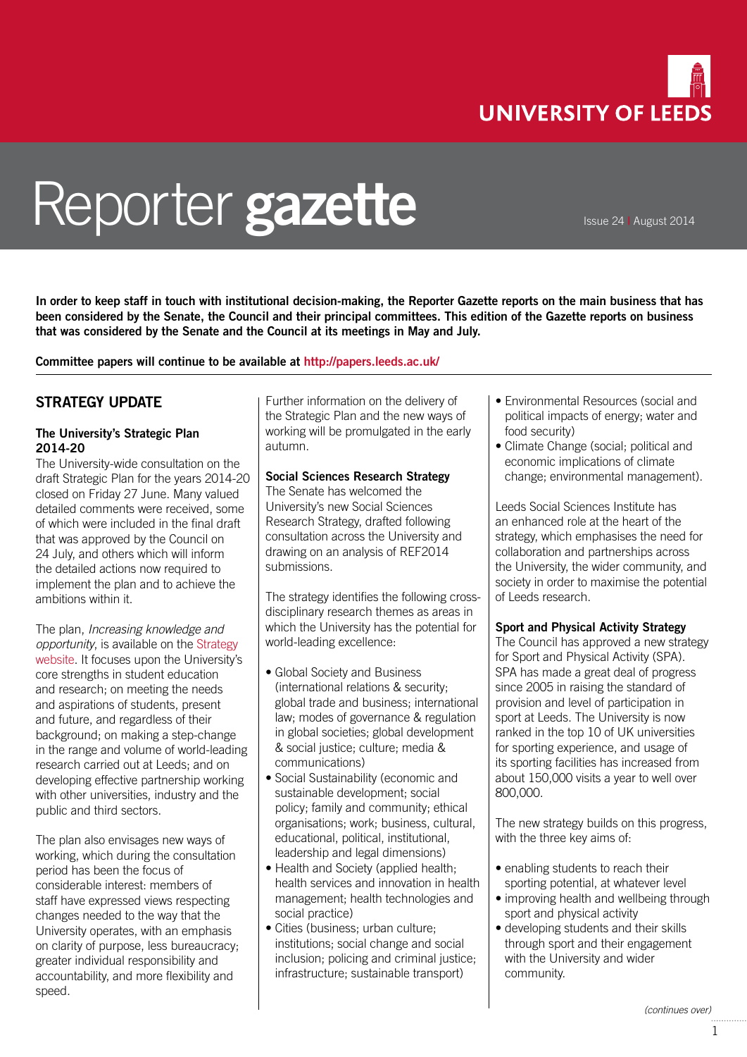

# Reporter **gazette**

Issue 24 **|** August 2014

**In order to keep staff in touch with institutional decision-making, the Reporter Gazette reports on the main business that has been considered by the Senate, the Council and their principal committees. This edition of the Gazette reports on business that was considered by the Senate and the Council at its meetings in May and July.**

**Committee papers will continue to be available at<http://papers.leeds.ac.uk/>**

## **STRATEGY UPDATE**

#### **The University's Strategic Plan 2014-20**

The University-wide consultation on the draft Strategic Plan for the years 2014-20 closed on Friday 27 June. Many valued detailed comments were received, some of which were included in the final draft that was approved by the Council on 24 July, and others which will inform the detailed actions now required to implement the plan and to achieve the ambitions within it.

The plan, *Increasing knowledge and opportunity*, is available on the [Strategy](https://strategy.leeds.ac.uk/)  [website.](https://strategy.leeds.ac.uk/) It focuses upon the University's core strengths in student education and research; on meeting the needs and aspirations of students, present and future, and regardless of their background; on making a step-change in the range and volume of world-leading research carried out at Leeds; and on developing effective partnership working with other universities, industry and the public and third sectors.

The plan also envisages new ways of working, which during the consultation period has been the focus of considerable interest: members of staff have expressed views respecting changes needed to the way that the University operates, with an emphasis on clarity of purpose, less bureaucracy; greater individual responsibility and accountability, and more flexibility and speed.

Further information on the delivery of the Strategic Plan and the new ways of working will be promulgated in the early autumn.

#### **Social Sciences Research Strategy**

The Senate has welcomed the University's new Social Sciences Research Strategy, drafted following consultation across the University and drawing on an analysis of REF2014 submissions.

The strategy identifies the following crossdisciplinary research themes as areas in which the University has the potential for world-leading excellence:

- Global Society and Business (international relations & security; global trade and business; international law; modes of governance & regulation in global societies; global development & social justice; culture; media & communications)
- Social Sustainability (economic and sustainable development; social policy; family and community; ethical organisations; work; business, cultural, educational, political, institutional, leadership and legal dimensions)
- Health and Society (applied health; health services and innovation in health management; health technologies and social practice)
- Cities (business; urban culture; institutions; social change and social inclusion; policing and criminal justice; infrastructure; sustainable transport)
- Environmental Resources (social and political impacts of energy; water and food security)
- Climate Change (social; political and economic implications of climate change; environmental management).

Leeds Social Sciences Institute has an enhanced role at the heart of the strategy, which emphasises the need for collaboration and partnerships across the University, the wider community, and society in order to maximise the potential of Leeds research.

#### **Sport and Physical Activity Strategy**

The Council has approved a new strategy for Sport and Physical Activity (SPA). SPA has made a great deal of progress since 2005 in raising the standard of provision and level of participation in sport at Leeds. The University is now ranked in the top 10 of UK universities for sporting experience, and usage of its sporting facilities has increased from about 150,000 visits a year to well over 800,000.

The new strategy builds on this progress, with the three key aims of:

- enabling students to reach their sporting potential, at whatever level
- improving health and wellbeing through sport and physical activity
- developing students and their skills through sport and their engagement with the University and wider community.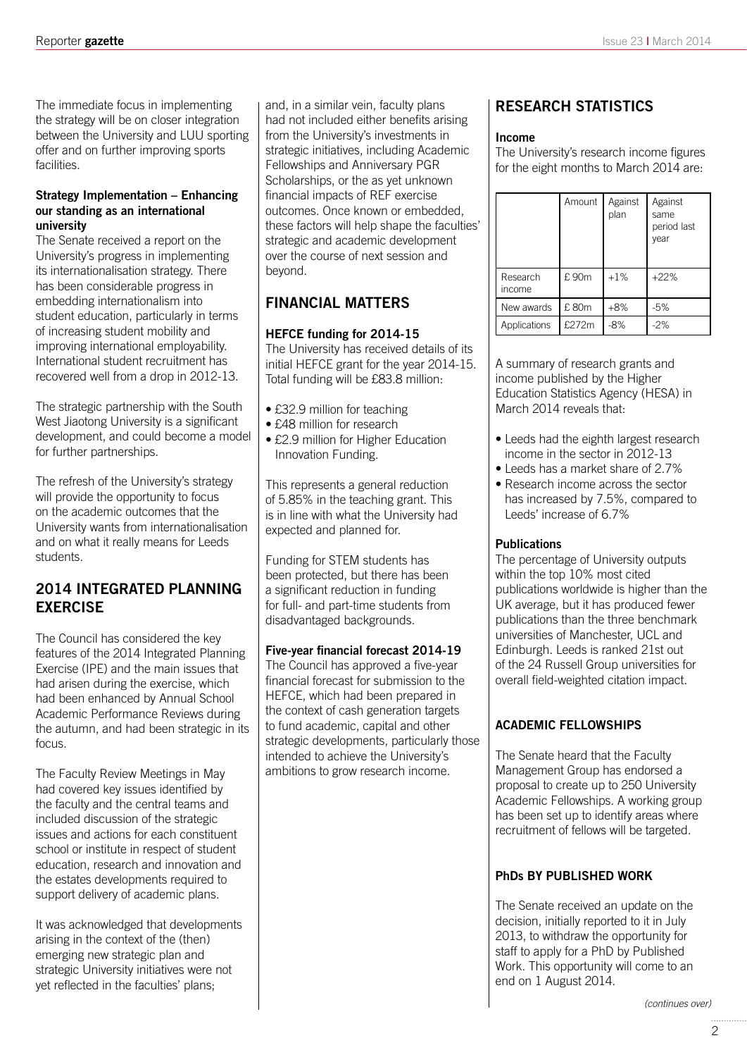The immediate focus in implementing the strategy will be on closer integration between the University and LUU sporting offer and on further improving sports facilities.

#### **Strategy Implementation – Enhancing our standing as an international university**

The Senate received a report on the University's progress in implementing its internationalisation strategy. There has been considerable progress in embedding internationalism into student education, particularly in terms of increasing student mobility and improving international employability. International student recruitment has recovered well from a drop in 2012-13.

The strategic partnership with the South West Jiaotong University is a significant development, and could become a model for further partnerships.

The refresh of the University's strategy will provide the opportunity to focus on the academic outcomes that the University wants from internationalisation and on what it really means for Leeds students.

## **2014 INTEGRATED PLANNING EXERCISE**

The Council has considered the key features of the 2014 Integrated Planning Exercise (IPE) and the main issues that had arisen during the exercise, which had been enhanced by Annual School Academic Performance Reviews during the autumn, and had been strategic in its focus.

The Faculty Review Meetings in May had covered key issues identified by the faculty and the central teams and included discussion of the strategic issues and actions for each constituent school or institute in respect of student education, research and innovation and the estates developments required to support delivery of academic plans.

It was acknowledged that developments arising in the context of the (then) emerging new strategic plan and strategic University initiatives were not yet reflected in the faculties' plans;

and, in a similar vein, faculty plans had not included either benefits arising from the University's investments in strategic initiatives, including Academic Fellowships and Anniversary PGR Scholarships, or the as yet unknown financial impacts of REF exercise outcomes. Once known or embedded, these factors will help shape the faculties' strategic and academic development over the course of next session and beyond.

# **FINANCIAL MATTERS**

#### **HEFCE funding for 2014-15**

The University has received details of its initial HEFCE grant for the year 2014-15. Total funding will be £83.8 million:

- £32.9 million for teaching
- £48 million for research
- £2.9 million for Higher Education Innovation Funding.

This represents a general reduction of 5.85% in the teaching grant. This is in line with what the University had expected and planned for.

Funding for STEM students has been protected, but there has been a significant reduction in funding for full- and part-time students from disadvantaged backgrounds.

#### **Five-year financial forecast 2014-19**

The Council has approved a five-year financial forecast for submission to the HEFCE, which had been prepared in the context of cash generation targets to fund academic, capital and other strategic developments, particularly those intended to achieve the University's ambitions to grow research income.

## **RESEARCH STATISTICS**

#### **Income**

The University's research income figures for the eight months to March 2014 are:

|                    | Amount | Against<br>plan | Against<br>same<br>period last<br>year |
|--------------------|--------|-----------------|----------------------------------------|
| Research<br>income | £90m   | $+1%$           | $+22%$                                 |
| New awards         | £80m   | $+8%$           | $-5%$                                  |
| Applications       | £272m  | -8%             | $-2%$                                  |

A summary of research grants and income published by the Higher Education Statistics Agency (HESA) in March 2014 reveals that:

- Leeds had the eighth largest research income in the sector in 2012-13
- Leeds has a market share of 2.7%
- Research income across the sector has increased by 7.5%, compared to Leeds' increase of 6.7%

#### **Publications**

The percentage of University outputs within the top 10% most cited publications worldwide is higher than the UK average, but it has produced fewer publications than the three benchmark universities of Manchester, UCL and Edinburgh. Leeds is ranked 21st out of the 24 Russell Group universities for overall field-weighted citation impact.

### **ACADEMIC FELLOWSHIPS**

The Senate heard that the Faculty Management Group has endorsed a proposal to create up to 250 University Academic Fellowships. A working group has been set up to identify areas where recruitment of fellows will be targeted.

#### **PhDs BY PUBLISHED WORK**

The Senate received an update on the decision, initially reported to it in July 2013, to withdraw the opportunity for staff to apply for a PhD by Published Work. This opportunity will come to an end on 1 August 2014.

*(continues over)*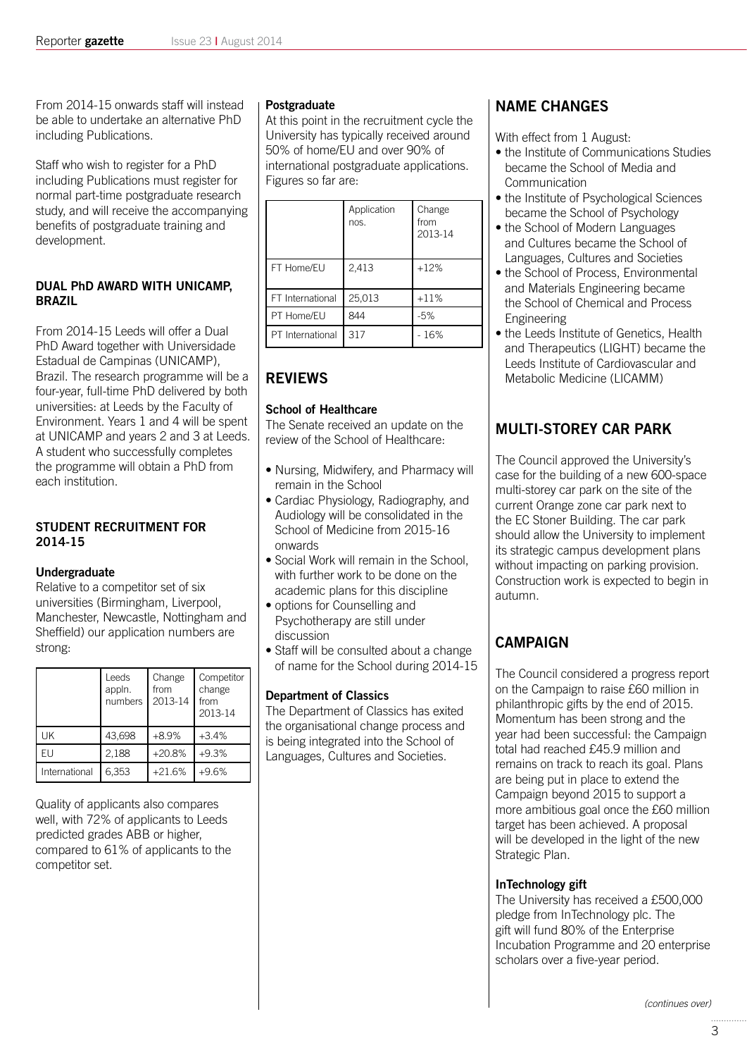From 2014-15 onwards staff will instead be able to undertake an alternative PhD including Publications.

Staff who wish to register for a PhD including Publications must register for normal part-time postgraduate research study, and will receive the accompanying benefits of postgraduate training and development.

#### **DUAL PhD AWARD WITH UNICAMP, BRAZIL**

From 2014-15 Leeds will offer a Dual PhD Award together with Universidade Estadual de Campinas (UNICAMP), Brazil. The research programme will be a four-year, full-time PhD delivered by both universities: at Leeds by the Faculty of Environment. Years 1 and 4 will be spent at UNICAMP and years 2 and 3 at Leeds. A student who successfully completes the programme will obtain a PhD from each institution.

#### **STUDENT RECRUITMENT FOR 2014-15**

#### **Undergraduate**

Relative to a competitor set of six universities (Birmingham, Liverpool, Manchester, Newcastle, Nottingham and Sheffield) our application numbers are strong:

|               | Leeds<br>appln.<br>numbers | Change<br>from<br>2013-14 | Competitor<br>change<br>from<br>2013-14 |
|---------------|----------------------------|---------------------------|-----------------------------------------|
| UK            | 43,698                     | $+8.9%$                   | $+3.4%$                                 |
| FU.           | 2,188                      | $+20.8%$                  | $+9.3%$                                 |
| International | 6,353                      | $+21.6%$                  | $+9.6%$                                 |

Quality of applicants also compares well, with 72% of applicants to Leeds predicted grades ABB or higher, compared to 61% of applicants to the competitor set.

#### **Postgraduate**

At this point in the recruitment cycle the University has typically received around 50% of home/EU and over 90% of international postgraduate applications. Figures so far are:

|                  | Application<br>nos. | Change<br>from<br>2013-14 |
|------------------|---------------------|---------------------------|
| FT Home/EU       | 2,413               | $+12%$                    |
| FT International | 25,013              | $+11%$                    |
| PT Home/EU       | 844                 | $-5%$                     |
| PT International | 317                 | $-16%$                    |

# **REVIEWS**

#### **School of Healthcare**

The Senate received an update on the review of the School of Healthcare:

- Nursing, Midwifery, and Pharmacy will remain in the School
- Cardiac Physiology, Radiography, and Audiology will be consolidated in the School of Medicine from 2015-16 onwards
- Social Work will remain in the School, with further work to be done on the academic plans for this discipline
- options for Counselling and Psychotherapy are still under discussion
- Staff will be consulted about a change of name for the School during 2014-15

#### **Department of Classics**

The Department of Classics has exited the organisational change process and is being integrated into the School of Languages, Cultures and Societies.

## **NAME CHANGES**

With effect from 1 August:

- the Institute of Communications Studies became the School of Media and Communication
- the Institute of Psychological Sciences became the School of Psychology
- the School of Modern Languages and Cultures became the School of Languages, Cultures and Societies
- the School of Process, Environmental and Materials Engineering became the School of Chemical and Process Engineering
- the Leeds Institute of Genetics, Health and Therapeutics (LIGHT) became the Leeds Institute of Cardiovascular and Metabolic Medicine (LICAMM)

# **MULTI-STOREY CAR PARK**

The Council approved the University's case for the building of a new 600-space multi-storey car park on the site of the current Orange zone car park next to the EC Stoner Building. The car park should allow the University to implement its strategic campus development plans without impacting on parking provision. Construction work is expected to begin in autumn.

# **CAMPAIGN**

The Council considered a progress report on the Campaign to raise £60 million in philanthropic gifts by the end of 2015. Momentum has been strong and the year had been successful: the Campaign total had reached £45.9 million and remains on track to reach its goal. Plans are being put in place to extend the Campaign beyond 2015 to support a more ambitious goal once the £60 million target has been achieved. A proposal will be developed in the light of the new Strategic Plan.

#### **InTechnology gift**

The University has received a £500,000 pledge from InTechnology plc. The gift will fund 80% of the Enterprise Incubation Programme and 20 enterprise scholars over a five-year period.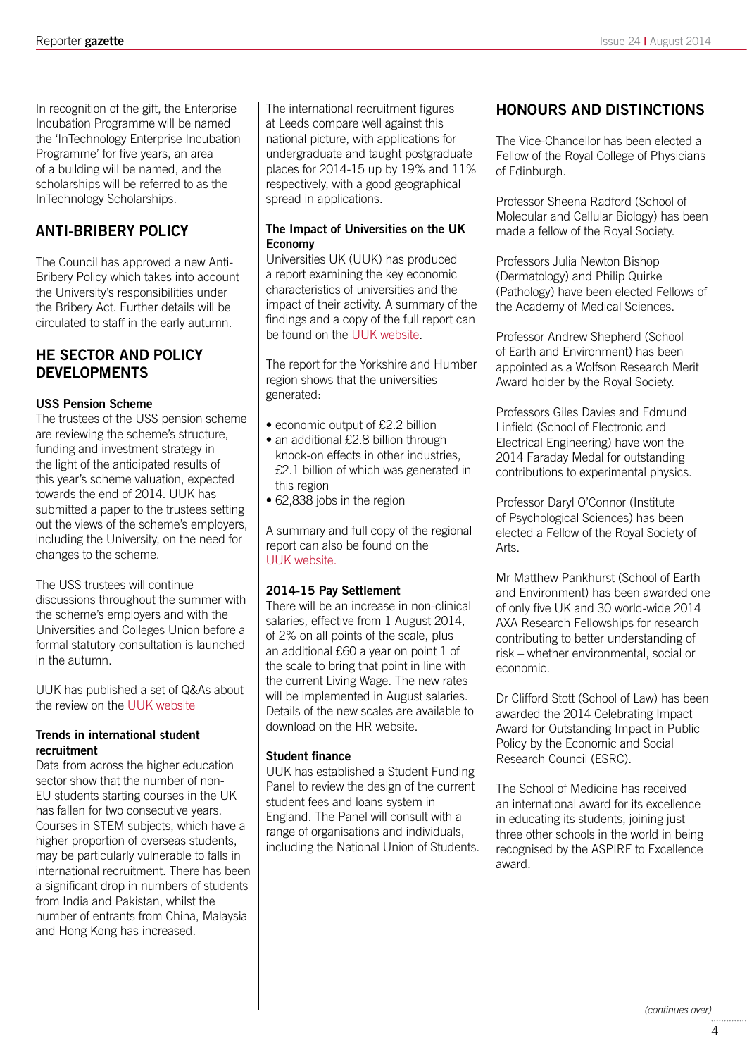In recognition of the gift, the Enterprise Incubation Programme will be named the 'InTechnology Enterprise Incubation Programme' for five years, an area of a building will be named, and the scholarships will be referred to as the InTechnology Scholarships.

## **ANTI-BRIBERY POLICY**

The Council has approved a new Anti-Bribery Policy which takes into account the University's responsibilities under the Bribery Act. Further details will be circulated to staff in the early autumn.

## **HE SECTOR AND POLICY DEVELOPMENTS**

#### **USS Pension Scheme**

The trustees of the USS pension scheme are reviewing the scheme's structure, funding and investment strategy in the light of the anticipated results of this year's scheme valuation, expected towards the end of 2014. UUK has submitted a paper to the trustees setting out the views of the scheme's employers, including the University, on the need for changes to the scheme.

The USS trustees will continue discussions throughout the summer with the scheme's employers and with the Universities and Colleges Union before a formal statutory consultation is launched in the autumn.

UUK has published a set of Q&As about the review on the [UUK website](http://www.universitiesuk.ac.uk/aboutus/AssociatedOrganisations/Partnerships/EPF/Pages/QAsontheUSS.aspx)

#### **Trends in international student recruitment**

Data from across the higher education sector show that the number of non-EU students starting courses in the UK has fallen for two consecutive years. Courses in STEM subjects, which have a higher proportion of overseas students, may be particularly vulnerable to falls in international recruitment. There has been a significant drop in numbers of students from India and Pakistan, whilst the number of entrants from China, Malaysia and Hong Kong has increased.

The international recruitment figures at Leeds compare well against this national picture, with applications for undergraduate and taught postgraduate places for 2014-15 up by 19% and 11% respectively, with a good geographical spread in applications.

#### **The Impact of Universities on the UK Economy**

Universities UK (UUK) has produced a report examining the key economic characteristics of universities and the impact of their activity. A summary of the findings and a copy of the full report can be found on the [UUK website.](http://www.universitiesuk.ac.uk/highereducation/Pages/ImpactOfUniversities.aspx#.U-CweUhoG1Y)

The report for the Yorkshire and Humber region shows that the universities generated:

- economic output of £2.2 billion
- an additional £2.8 billion through knock-on effects in other industries, £2.1 billion of which was generated in this region
- 62,838 jobs in the region

A summary and full copy of the regional report can also be found on the UUK website

#### **2014-15 Pay Settlement**

There will be an increase in non-clinical salaries, effective from 1 August 2014, of 2% on all points of the scale, plus an additional £60 a year on point 1 of the scale to bring that point in line with the current Living Wage. The new rates will be implemented in August salaries. Details of the new scales are available to download on the HR website.

#### **Student finance**

UUK has established a Student Funding Panel to review the design of the current student fees and loans system in England. The Panel will consult with a range of organisations and individuals, including the National Union of Students.

## **HONOURS AND DISTINCTIONS**

The Vice-Chancellor has been elected a Fellow of the Royal College of Physicians of Edinburgh.

Professor Sheena Radford (School of Molecular and Cellular Biology) has been made a fellow of the Royal Society.

Professors Julia Newton Bishop (Dermatology) and Philip Quirke (Pathology) have been elected Fellows of the Academy of Medical Sciences.

Professor Andrew Shepherd (School of Earth and Environment) has been appointed as a Wolfson Research Merit Award holder by the Royal Society.

Professors Giles Davies and Edmund Linfield (School of Electronic and Electrical Engineering) have won the 2014 Faraday Medal for outstanding contributions to experimental physics.

Professor Daryl O'Connor (Institute of Psychological Sciences) has been elected a Fellow of the Royal Society of Arts.

Mr Matthew Pankhurst (School of Earth and Environment) has been awarded one of only five UK and 30 world-wide 2014 AXA Research Fellowships for research contributing to better understanding of risk – whether environmental, social or economic.

Dr Clifford Stott (School of Law) has been awarded the 2014 Celebrating Impact Award for Outstanding Impact in Public Policy by the Economic and Social Research Council (ESRC).

The School of Medicine has received an international award for its excellence in educating its students, joining just three other schools in the world in being recognised by the ASPIRE to Excellence award.